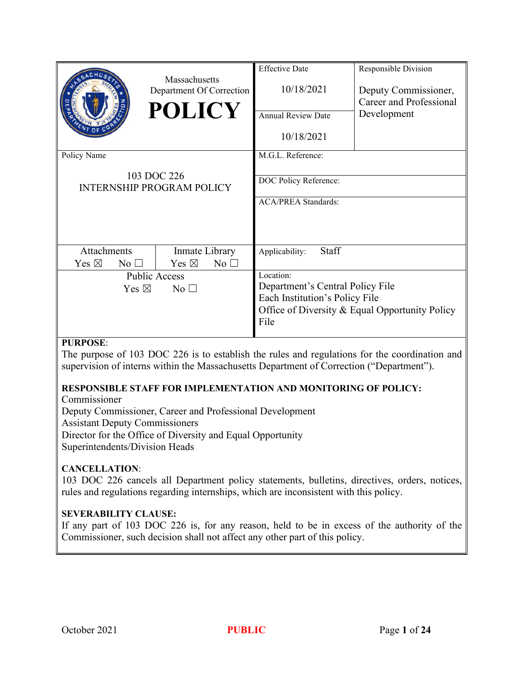|                 |                      |                                           | <b>Effective Date</b>                                                                    | Responsible Division                                                                          |  |
|-----------------|----------------------|-------------------------------------------|------------------------------------------------------------------------------------------|-----------------------------------------------------------------------------------------------|--|
|                 |                      | Massachusetts<br>Department Of Correction | 10/18/2021                                                                               | Deputy Commissioner,                                                                          |  |
|                 |                      | <b>POLICY</b>                             |                                                                                          | Career and Professional                                                                       |  |
|                 |                      |                                           | <b>Annual Review Date</b>                                                                | Development                                                                                   |  |
|                 |                      |                                           | 10/18/2021                                                                               |                                                                                               |  |
| Policy Name     |                      |                                           | M.G.L. Reference:                                                                        |                                                                                               |  |
|                 |                      | 103 DOC 226                               | DOC Policy Reference:                                                                    |                                                                                               |  |
|                 |                      | <b>INTERNSHIP PROGRAM POLICY</b>          |                                                                                          |                                                                                               |  |
|                 |                      |                                           | <b>ACA/PREA Standards:</b>                                                               |                                                                                               |  |
|                 |                      |                                           |                                                                                          |                                                                                               |  |
|                 |                      |                                           |                                                                                          |                                                                                               |  |
| Attachments     |                      | Inmate Library                            | Staff<br>Applicability:                                                                  |                                                                                               |  |
| Yes $\boxtimes$ | No <sub>1</sub>      | Yes $\boxtimes$<br>No $\square$           |                                                                                          |                                                                                               |  |
|                 | <b>Public Access</b> |                                           | Location:                                                                                |                                                                                               |  |
|                 | Yes $\boxtimes$      | No <sub>1</sub>                           | Department's Central Policy File                                                         |                                                                                               |  |
|                 |                      |                                           | Each Institution's Policy File                                                           |                                                                                               |  |
|                 |                      |                                           | Office of Diversity & Equal Opportunity Policy                                           |                                                                                               |  |
|                 |                      |                                           | File                                                                                     |                                                                                               |  |
| <b>PURPOSE:</b> |                      |                                           |                                                                                          |                                                                                               |  |
|                 |                      |                                           |                                                                                          | The purpose of 103 DOC 226 is to establish the rules and regulations for the coordination and |  |
|                 |                      |                                           | supervision of interns within the Massachusetts Department of Correction ("Department"). |                                                                                               |  |

# **RESPONSIBLE STAFF FOR IMPLEMENTATION AND MONITORING OF POLICY:**

Commissioner

Deputy Commissioner, Career and Professional Development Assistant Deputy Commissioners Director for the Office of Diversity and Equal Opportunity Superintendents/Division Heads

#### **CANCELLATION**:

103 DOC 226 cancels all Department policy statements, bulletins, directives, orders, notices, rules and regulations regarding internships, which are inconsistent with this policy.

#### **SEVERABILITY CLAUSE:**

If any part of 103 DOC 226 is, for any reason, held to be in excess of the authority of the Commissioner, such decision shall not affect any other part of this policy.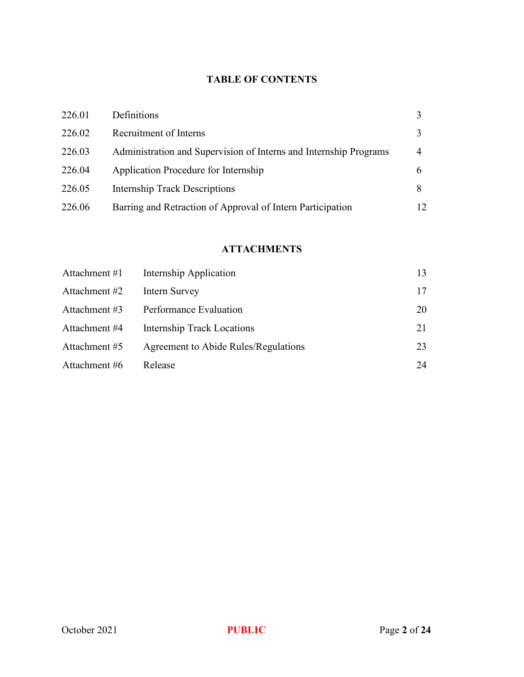# **TABLE OF CONTENTS**

| 226.01 | Definitions                                                       |    |
|--------|-------------------------------------------------------------------|----|
| 226.02 | Recruitment of Interns                                            |    |
| 226.03 | Administration and Supervision of Interns and Internship Programs |    |
| 226.04 | Application Procedure for Internship                              |    |
| 226.05 | <b>Internship Track Descriptions</b>                              |    |
| 226.06 | Barring and Retraction of Approval of Intern Participation        | 12 |

# **ATTACHMENTS**

| Attachment #1 | Internship Application               | 13 |
|---------------|--------------------------------------|----|
| Attachment #2 | Intern Survey                        | 17 |
| Attachment #3 | Performance Evaluation               | 20 |
| Attachment #4 | <b>Internship Track Locations</b>    | 21 |
| Attachment #5 | Agreement to Abide Rules/Regulations | 23 |
| Attachment #6 | Release                              | 24 |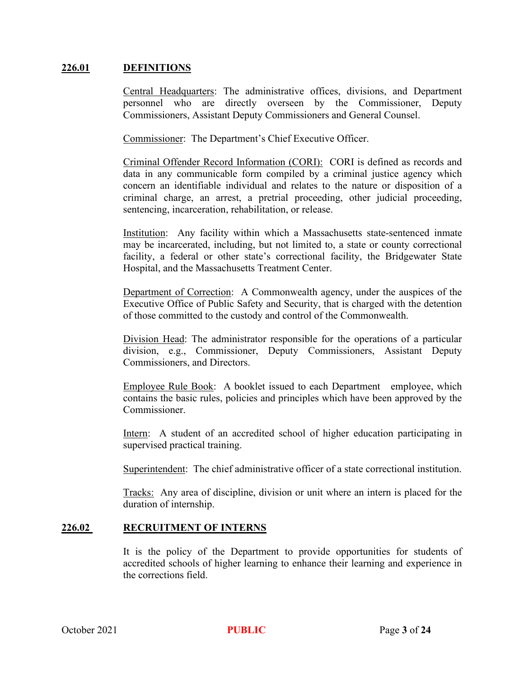#### **226.01 DEFINITIONS**

Central Headquarters: The administrative offices, divisions, and Department personnel who are directly overseen by the Commissioner, Deputy Commissioners, Assistant Deputy Commissioners and General Counsel.

Commissioner: The Department's Chief Executive Officer.

Criminal Offender Record Information (CORI): CORI is defined as records and data in any communicable form compiled by a criminal justice agency which concern an identifiable individual and relates to the nature or disposition of a criminal charge, an arrest, a pretrial proceeding, other judicial proceeding, sentencing, incarceration, rehabilitation, or release.

Institution: Any facility within which a Massachusetts state-sentenced inmate may be incarcerated, including, but not limited to, a state or county correctional facility, a federal or other state's correctional facility, the Bridgewater State Hospital, and the Massachusetts Treatment Center.

Department of Correction: A Commonwealth agency, under the auspices of the Executive Office of Public Safety and Security, that is charged with the detention of those committed to the custody and control of the Commonwealth.

Division Head: The administrator responsible for the operations of a particular division, e.g., Commissioner, Deputy Commissioners, Assistant Deputy Commissioners, and Directors.

Employee Rule Book: A booklet issued to each Department employee, which contains the basic rules, policies and principles which have been approved by the Commissioner.

Intern: A student of an accredited school of higher education participating in supervised practical training.

Superintendent: The chief administrative officer of a state correctional institution.

Tracks: Any area of discipline, division or unit where an intern is placed for the duration of internship.

#### **226.02 RECRUITMENT OF INTERNS**

It is the policy of the Department to provide opportunities for students of accredited schools of higher learning to enhance their learning and experience in the corrections field.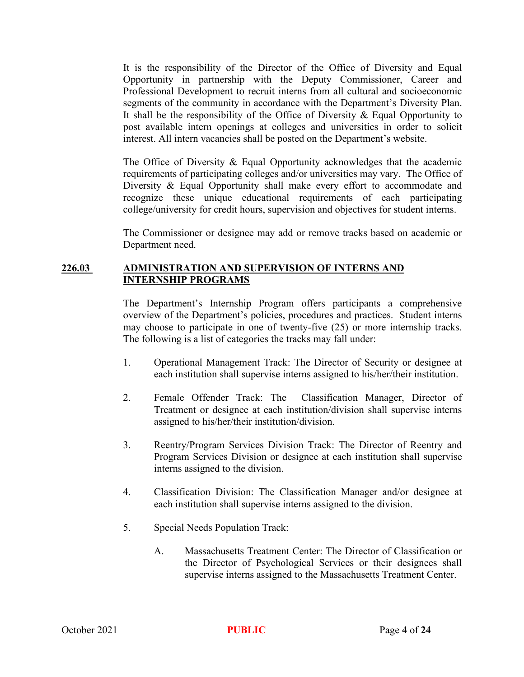It is the responsibility of the Director of the Office of Diversity and Equal Opportunity in partnership with the Deputy Commissioner, Career and Professional Development to recruit interns from all cultural and socioeconomic segments of the community in accordance with the Department's Diversity Plan. It shall be the responsibility of the Office of Diversity & Equal Opportunity to post available intern openings at colleges and universities in order to solicit interest. All intern vacancies shall be posted on the Department's website.

The Office of Diversity & Equal Opportunity acknowledges that the academic requirements of participating colleges and/or universities may vary. The Office of Diversity & Equal Opportunity shall make every effort to accommodate and recognize these unique educational requirements of each participating college/university for credit hours, supervision and objectives for student interns.

The Commissioner or designee may add or remove tracks based on academic or Department need.

#### **226.03 ADMINISTRATION AND SUPERVISION OF INTERNS AND INTERNSHIP PROGRAMS**

The Department's Internship Program offers participants a comprehensive overview of the Department's policies, procedures and practices. Student interns may choose to participate in one of twenty-five (25) or more internship tracks. The following is a list of categories the tracks may fall under:

- 1. Operational Management Track: The Director of Security or designee at each institution shall supervise interns assigned to his/her/their institution.
- 2. Female Offender Track: The Classification Manager, Director of Treatment or designee at each institution/division shall supervise interns assigned to his/her/their institution/division.
- 3. Reentry/Program Services Division Track: The Director of Reentry and Program Services Division or designee at each institution shall supervise interns assigned to the division.
- 4. Classification Division: The Classification Manager and/or designee at each institution shall supervise interns assigned to the division.
- 5. Special Needs Population Track:
	- A. Massachusetts Treatment Center: The Director of Classification or the Director of Psychological Services or their designees shall supervise interns assigned to the Massachusetts Treatment Center.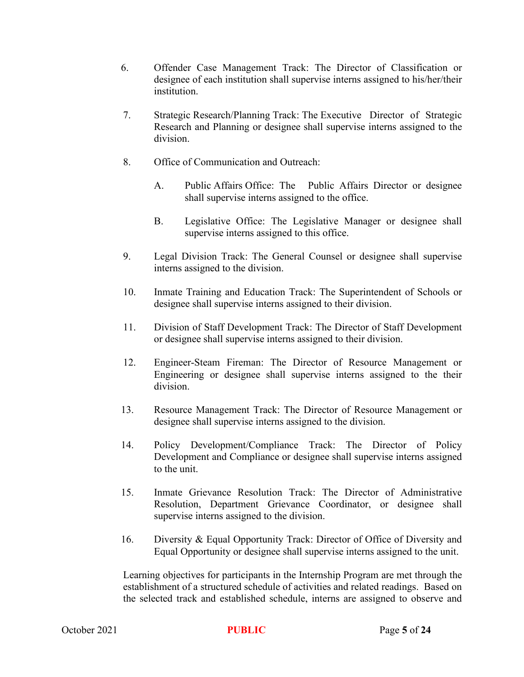- 6. Offender Case Management Track: The Director of Classification or designee of each institution shall supervise interns assigned to his/her/their institution.
- 7. Strategic Research/Planning Track: The Executive Director of Strategic Research and Planning or designee shall supervise interns assigned to the division.
- 8. Office of Communication and Outreach:
	- A. Public Affairs Office: The Public Affairs Director or designee shall supervise interns assigned to the office.
	- B. Legislative Office: The Legislative Manager or designee shall supervise interns assigned to this office.
- 9. Legal Division Track: The General Counsel or designee shall supervise interns assigned to the division.
- 10. Inmate Training and Education Track: The Superintendent of Schools or designee shall supervise interns assigned to their division.
- 11. Division of Staff Development Track: The Director of Staff Development or designee shall supervise interns assigned to their division.
- 12. Engineer-Steam Fireman: The Director of Resource Management or Engineering or designee shall supervise interns assigned to the their division.
- 13. Resource Management Track: The Director of Resource Management or designee shall supervise interns assigned to the division.
- 14. Policy Development/Compliance Track: The Director of Policy Development and Compliance or designee shall supervise interns assigned to the unit.
- 15. Inmate Grievance Resolution Track: The Director of Administrative Resolution, Department Grievance Coordinator, or designee shall supervise interns assigned to the division.
- 16. Diversity & Equal Opportunity Track: Director of Office of Diversity and Equal Opportunity or designee shall supervise interns assigned to the unit.

Learning objectives for participants in the Internship Program are met through the establishment of a structured schedule of activities and related readings. Based on the selected track and established schedule, interns are assigned to observe and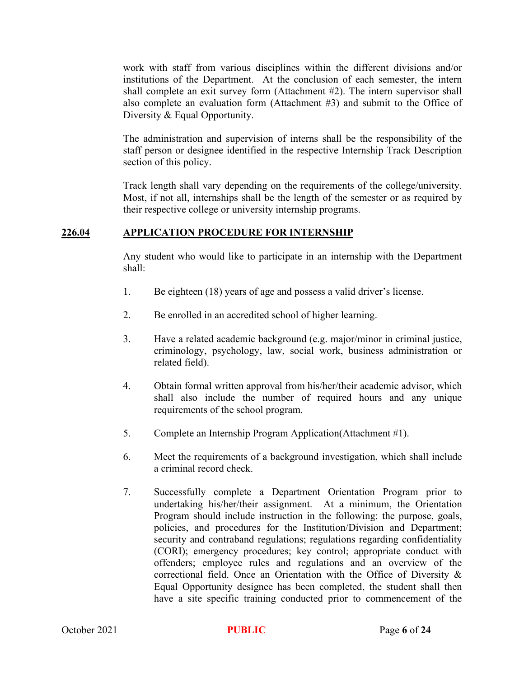work with staff from various disciplines within the different divisions and/or institutions of the Department. At the conclusion of each semester, the intern shall complete an exit survey form (Attachment #2). The intern supervisor shall also complete an evaluation form (Attachment #3) and submit to the Office of Diversity & Equal Opportunity.

The administration and supervision of interns shall be the responsibility of the staff person or designee identified in the respective Internship Track Description section of this policy.

Track length shall vary depending on the requirements of the college/university. Most, if not all, internships shall be the length of the semester or as required by their respective college or university internship programs.

## **226.04 APPLICATION PROCEDURE FOR INTERNSHIP**

Any student who would like to participate in an internship with the Department shall:

- 1. Be eighteen (18) years of age and possess a valid driver's license.
- 2. Be enrolled in an accredited school of higher learning.
- 3. Have a related academic background (e.g. major/minor in criminal justice, criminology, psychology, law, social work, business administration or related field).
- 4. Obtain formal written approval from his/her/their academic advisor, which shall also include the number of required hours and any unique requirements of the school program.
- 5. Complete an Internship Program Application(Attachment #1).
- 6. Meet the requirements of a background investigation, which shall include a criminal record check.
- 7. Successfully complete a Department Orientation Program prior to undertaking his/her/their assignment. At a minimum, the Orientation Program should include instruction in the following: the purpose, goals, policies, and procedures for the Institution/Division and Department; security and contraband regulations; regulations regarding confidentiality (CORI); emergency procedures; key control; appropriate conduct with offenders; employee rules and regulations and an overview of the correctional field. Once an Orientation with the Office of Diversity & Equal Opportunity designee has been completed, the student shall then have a site specific training conducted prior to commencement of the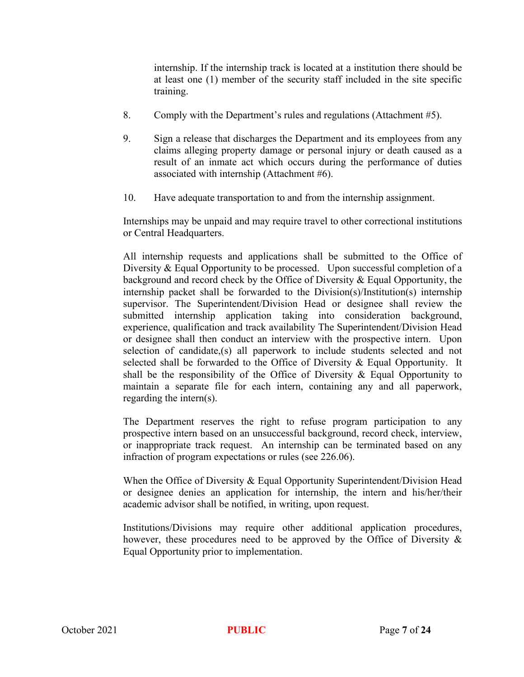internship. If the internship track is located at a institution there should be at least one (1) member of the security staff included in the site specific training.

- 8. Comply with the Department's rules and regulations (Attachment #5).
- 9. Sign a release that discharges the Department and its employees from any claims alleging property damage or personal injury or death caused as a result of an inmate act which occurs during the performance of duties associated with internship (Attachment #6).
- 10. Have adequate transportation to and from the internship assignment.

Internships may be unpaid and may require travel to other correctional institutions or Central Headquarters.

All internship requests and applications shall be submitted to the Office of Diversity & Equal Opportunity to be processed. Upon successful completion of a background and record check by the Office of Diversity & Equal Opportunity, the internship packet shall be forwarded to the Division(s)/Institution(s) internship supervisor. The Superintendent/Division Head or designee shall review the submitted internship application taking into consideration background, experience, qualification and track availability The Superintendent/Division Head or designee shall then conduct an interview with the prospective intern. Upon selection of candidate,(s) all paperwork to include students selected and not selected shall be forwarded to the Office of Diversity & Equal Opportunity. It shall be the responsibility of the Office of Diversity & Equal Opportunity to maintain a separate file for each intern, containing any and all paperwork, regarding the intern(s).

The Department reserves the right to refuse program participation to any prospective intern based on an unsuccessful background, record check, interview, or inappropriate track request. An internship can be terminated based on any infraction of program expectations or rules (see 226.06).

When the Office of Diversity & Equal Opportunity Superintendent/Division Head or designee denies an application for internship, the intern and his/her/their academic advisor shall be notified, in writing, upon request.

Institutions/Divisions may require other additional application procedures, however, these procedures need to be approved by the Office of Diversity & Equal Opportunity prior to implementation.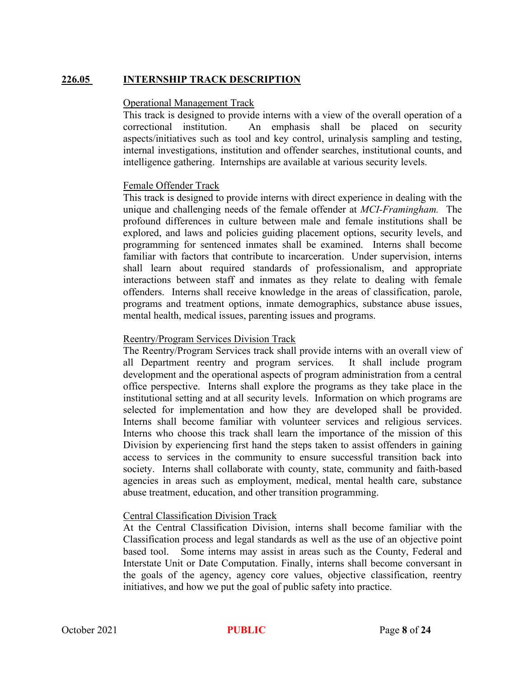# **226.05 INTERNSHIP TRACK DESCRIPTION**

#### Operational Management Track

This track is designed to provide interns with a view of the overall operation of a correctional institution. An emphasis shall be placed on security aspects/initiatives such as tool and key control, urinalysis sampling and testing, internal investigations, institution and offender searches, institutional counts, and intelligence gathering. Internships are available at various security levels.

#### Female Offender Track

This track is designed to provide interns with direct experience in dealing with the unique and challenging needs of the female offender at *MCI-Framingham.* The profound differences in culture between male and female institutions shall be explored, and laws and policies guiding placement options, security levels, and programming for sentenced inmates shall be examined. Interns shall become familiar with factors that contribute to incarceration. Under supervision, interns shall learn about required standards of professionalism, and appropriate interactions between staff and inmates as they relate to dealing with female offenders. Interns shall receive knowledge in the areas of classification, parole, programs and treatment options, inmate demographics, substance abuse issues, mental health, medical issues, parenting issues and programs.

#### Reentry/Program Services Division Track

The Reentry/Program Services track shall provide interns with an overall view of all Department reentry and program services. It shall include program development and the operational aspects of program administration from a central office perspective. Interns shall explore the programs as they take place in the institutional setting and at all security levels. Information on which programs are selected for implementation and how they are developed shall be provided. Interns shall become familiar with volunteer services and religious services. Interns who choose this track shall learn the importance of the mission of this Division by experiencing first hand the steps taken to assist offenders in gaining access to services in the community to ensure successful transition back into society. Interns shall collaborate with county, state, community and faith-based agencies in areas such as employment, medical, mental health care, substance abuse treatment, education, and other transition programming.

#### Central Classification Division Track

At the Central Classification Division, interns shall become familiar with the Classification process and legal standards as well as the use of an objective point based tool. Some interns may assist in areas such as the County, Federal and Interstate Unit or Date Computation. Finally, interns shall become conversant in the goals of the agency, agency core values, objective classification, reentry initiatives, and how we put the goal of public safety into practice.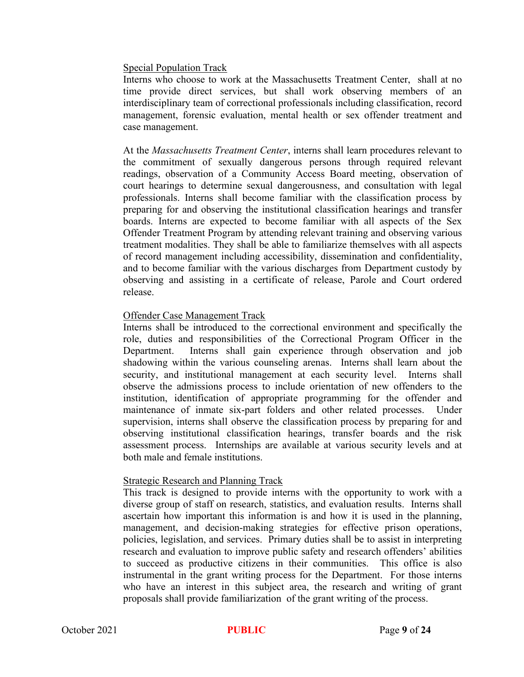#### Special Population Track

Interns who choose to work at the Massachusetts Treatment Center, shall at no time provide direct services, but shall work observing members of an interdisciplinary team of correctional professionals including classification, record management, forensic evaluation, mental health or sex offender treatment and case management.

At the *Massachusetts Treatment Center*, interns shall learn procedures relevant to the commitment of sexually dangerous persons through required relevant readings, observation of a Community Access Board meeting, observation of court hearings to determine sexual dangerousness, and consultation with legal professionals. Interns shall become familiar with the classification process by preparing for and observing the institutional classification hearings and transfer boards. Interns are expected to become familiar with all aspects of the Sex Offender Treatment Program by attending relevant training and observing various treatment modalities. They shall be able to familiarize themselves with all aspects of record management including accessibility, dissemination and confidentiality, and to become familiar with the various discharges from Department custody by observing and assisting in a certificate of release, Parole and Court ordered release.

#### Offender Case Management Track

Interns shall be introduced to the correctional environment and specifically the role, duties and responsibilities of the Correctional Program Officer in the Department. Interns shall gain experience through observation and job shadowing within the various counseling arenas. Interns shall learn about the security, and institutional management at each security level. Interns shall observe the admissions process to include orientation of new offenders to the institution, identification of appropriate programming for the offender and maintenance of inmate six-part folders and other related processes. Under supervision, interns shall observe the classification process by preparing for and observing institutional classification hearings, transfer boards and the risk assessment process. Internships are available at various security levels and at both male and female institutions.

#### Strategic Research and Planning Track

This track is designed to provide interns with the opportunity to work with a diverse group of staff on research, statistics, and evaluation results. Interns shall ascertain how important this information is and how it is used in the planning, management, and decision-making strategies for effective prison operations, policies, legislation, and services. Primary duties shall be to assist in interpreting research and evaluation to improve public safety and research offenders' abilities to succeed as productive citizens in their communities. This office is also instrumental in the grant writing process for the Department. For those interns who have an interest in this subject area, the research and writing of grant proposals shall provide familiarization of the grant writing of the process.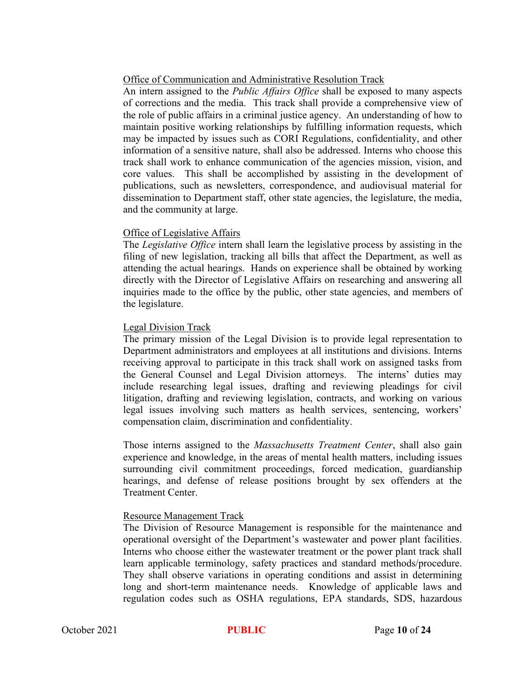# Office of Communication and Administrative Resolution Track

An intern assigned to the *Public Affairs Office* shall be exposed to many aspects of corrections and the media. This track shall provide a comprehensive view of the role of public affairs in a criminal justice agency. An understanding of how to maintain positive working relationships by fulfilling information requests, which may be impacted by issues such as CORI Regulations, confidentiality, and other information of a sensitive nature, shall also be addressed. Interns who choose this track shall work to enhance communication of the agencies mission, vision, and core values. This shall be accomplished by assisting in the development of publications, such as newsletters, correspondence, and audiovisual material for dissemination to Department staff, other state agencies, the legislature, the media, and the community at large.

# Office of Legislative Affairs

The *Legislative Office* intern shall learn the legislative process by assisting in the filing of new legislation, tracking all bills that affect the Department, as well as attending the actual hearings. Hands on experience shall be obtained by working directly with the Director of Legislative Affairs on researching and answering all inquiries made to the office by the public, other state agencies, and members of the legislature.

## Legal Division Track

The primary mission of the Legal Division is to provide legal representation to Department administrators and employees at all institutions and divisions. Interns receiving approval to participate in this track shall work on assigned tasks from the General Counsel and Legal Division attorneys. The interns' duties may include researching legal issues, drafting and reviewing pleadings for civil litigation, drafting and reviewing legislation, contracts, and working on various legal issues involving such matters as health services, sentencing, workers' compensation claim, discrimination and confidentiality.

Those interns assigned to the *Massachusetts Treatment Center*, shall also gain experience and knowledge, in the areas of mental health matters, including issues surrounding civil commitment proceedings, forced medication, guardianship hearings, and defense of release positions brought by sex offenders at the Treatment Center.

# Resource Management Track

The Division of Resource Management is responsible for the maintenance and operational oversight of the Department's wastewater and power plant facilities. Interns who choose either the wastewater treatment or the power plant track shall learn applicable terminology, safety practices and standard methods/procedure. They shall observe variations in operating conditions and assist in determining long and short-term maintenance needs. Knowledge of applicable laws and regulation codes such as OSHA regulations, EPA standards, SDS, hazardous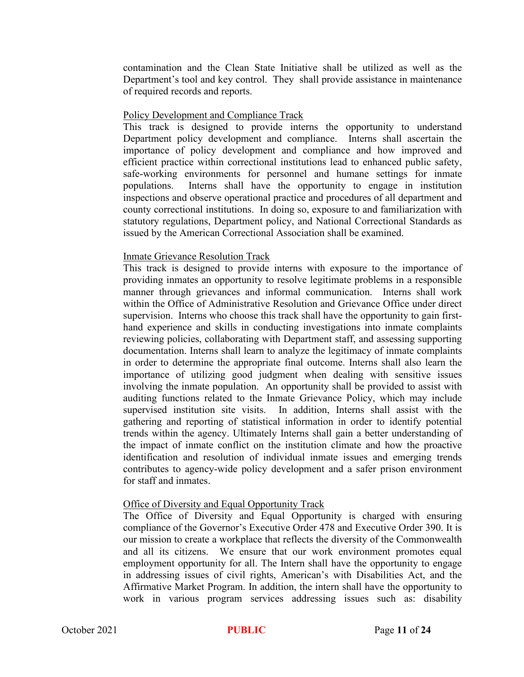contamination and the Clean State Initiative shall be utilized as well as the Department's tool and key control. They shall provide assistance in maintenance of required records and reports.

#### Policy Development and Compliance Track

This track is designed to provide interns the opportunity to understand Department policy development and compliance. Interns shall ascertain the importance of policy development and compliance and how improved and efficient practice within correctional institutions lead to enhanced public safety, safe-working environments for personnel and humane settings for inmate populations. Interns shall have the opportunity to engage in institution inspections and observe operational practice and procedures of all department and county correctional institutions. In doing so, exposure to and familiarization with statutory regulations, Department policy, and National Correctional Standards as issued by the American Correctional Association shall be examined.

## Inmate Grievance Resolution Track

This track is designed to provide interns with exposure to the importance of providing inmates an opportunity to resolve legitimate problems in a responsible manner through grievances and informal communication. Interns shall work within the Office of Administrative Resolution and Grievance Office under direct supervision. Interns who choose this track shall have the opportunity to gain firsthand experience and skills in conducting investigations into inmate complaints reviewing policies, collaborating with Department staff, and assessing supporting documentation. Interns shall learn to analyze the legitimacy of inmate complaints in order to determine the appropriate final outcome. Interns shall also learn the importance of utilizing good judgment when dealing with sensitive issues involving the inmate population. An opportunity shall be provided to assist with auditing functions related to the Inmate Grievance Policy, which may include supervised institution site visits. In addition, Interns shall assist with the gathering and reporting of statistical information in order to identify potential trends within the agency. Ultimately Interns shall gain a better understanding of the impact of inmate conflict on the institution climate and how the proactive identification and resolution of individual inmate issues and emerging trends contributes to agency-wide policy development and a safer prison environment for staff and inmates.

#### Office of Diversity and Equal Opportunity Track

The Office of Diversity and Equal Opportunity is charged with ensuring compliance of the Governor's Executive Order 478 and Executive Order 390. It is our mission to create a workplace that reflects the diversity of the Commonwealth and all its citizens. We ensure that our work environment promotes equal employment opportunity for all. The Intern shall have the opportunity to engage in addressing issues of civil rights, American's with Disabilities Act, and the Affirmative Market Program. In addition, the intern shall have the opportunity to work in various program services addressing issues such as: disability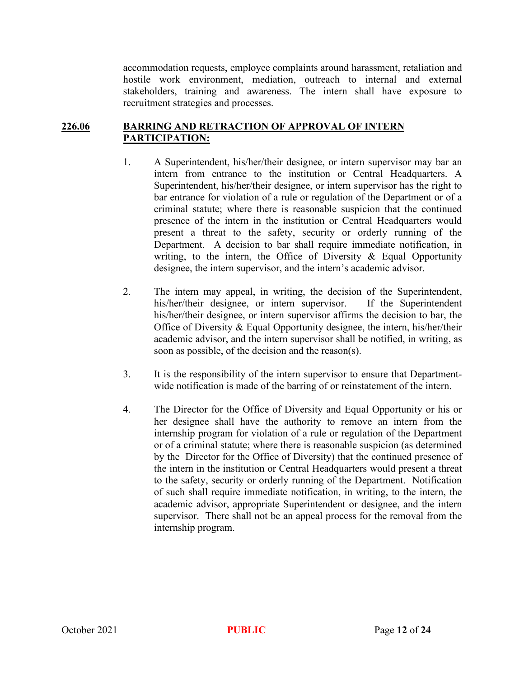accommodation requests, employee complaints around harassment, retaliation and hostile work environment, mediation, outreach to internal and external stakeholders, training and awareness. The intern shall have exposure to recruitment strategies and processes.

# **226.06 BARRING AND RETRACTION OF APPROVAL OF INTERN PARTICIPATION:**

- 1. A Superintendent, his/her/their designee, or intern supervisor may bar an intern from entrance to the institution or Central Headquarters. A Superintendent, his/her/their designee, or intern supervisor has the right to bar entrance for violation of a rule or regulation of the Department or of a criminal statute; where there is reasonable suspicion that the continued presence of the intern in the institution or Central Headquarters would present a threat to the safety, security or orderly running of the Department. A decision to bar shall require immediate notification, in writing, to the intern, the Office of Diversity  $\&$  Equal Opportunity designee, the intern supervisor, and the intern's academic advisor.
- 2. The intern may appeal, in writing, the decision of the Superintendent, his/her/their designee, or intern supervisor. If the Superintendent his/her/their designee, or intern supervisor affirms the decision to bar, the Office of Diversity & Equal Opportunity designee, the intern, his/her/their academic advisor, and the intern supervisor shall be notified, in writing, as soon as possible, of the decision and the reason(s).
- 3. It is the responsibility of the intern supervisor to ensure that Departmentwide notification is made of the barring of or reinstatement of the intern.
- 4. The Director for the Office of Diversity and Equal Opportunity or his or her designee shall have the authority to remove an intern from the internship program for violation of a rule or regulation of the Department or of a criminal statute; where there is reasonable suspicion (as determined by the Director for the Office of Diversity) that the continued presence of the intern in the institution or Central Headquarters would present a threat to the safety, security or orderly running of the Department. Notification of such shall require immediate notification, in writing, to the intern, the academic advisor, appropriate Superintendent or designee, and the intern supervisor. There shall not be an appeal process for the removal from the internship program.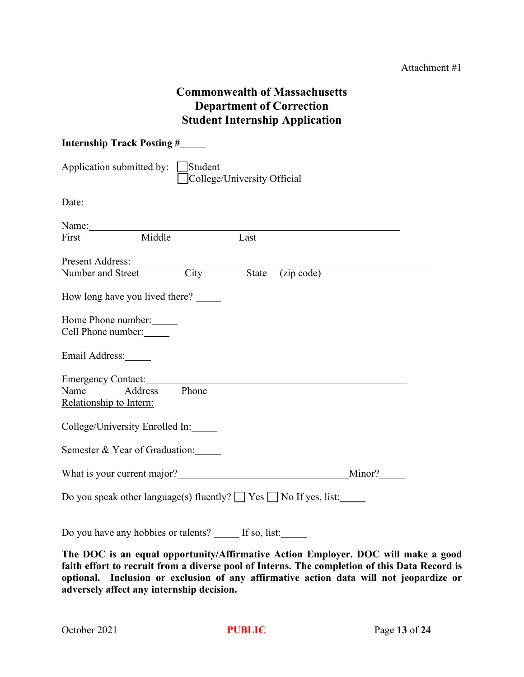# **Commonwealth of Massachusetts Department of Correction Student Internship Application**

| <b>Internship Track Posting #</b>                                             |  |  |  |  |  |
|-------------------------------------------------------------------------------|--|--|--|--|--|
| Application submitted by:<br>Student<br>College/University Official           |  |  |  |  |  |
| Date: $\_\_$                                                                  |  |  |  |  |  |
| Name: $\_\_$<br>Middle<br>Last<br>First                                       |  |  |  |  |  |
| Present Address:<br>City<br>(zip code)<br>State<br>Number and Street          |  |  |  |  |  |
| How long have you lived there?                                                |  |  |  |  |  |
| Home Phone number:<br>Cell Phone number:                                      |  |  |  |  |  |
| Email Address:                                                                |  |  |  |  |  |
| <b>Emergency Contact:</b><br>Address Phone<br>Name<br>Relationship to Intern: |  |  |  |  |  |
| College/University Enrolled In:                                               |  |  |  |  |  |
| Semester & Year of Graduation:                                                |  |  |  |  |  |
| Minor?                                                                        |  |  |  |  |  |
| Do you speak other language(s) fluently? $\Box$ Yes $\Box$ No If yes, list:   |  |  |  |  |  |
| If so, list:<br>Do you have any hobbies or talents?                           |  |  |  |  |  |

**The DOC is an equal opportunity/Affirmative Action Employer. DOC will make a good faith effort to recruit from a diverse pool of Interns. The completion of this Data Record is optional. Inclusion or exclusion of any affirmative action data will not jeopardize or adversely affect any internship decision.**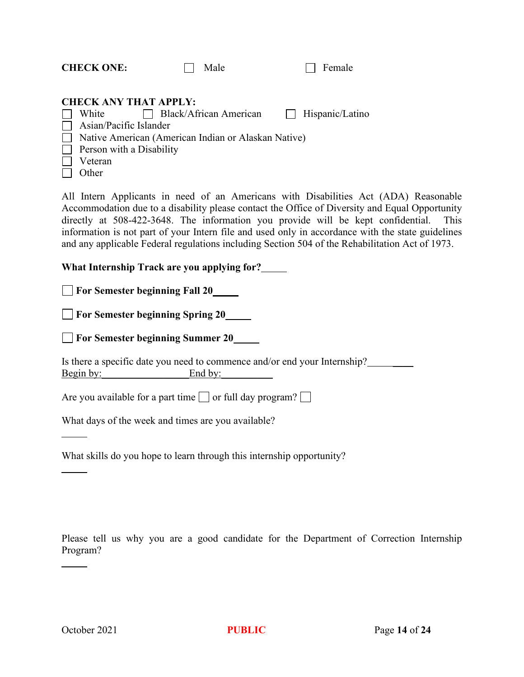| <b>CHECK ONE:</b> |                              | Male                                                |  |  |  |
|-------------------|------------------------------|-----------------------------------------------------|--|--|--|
|                   | <b>CHECK ANY THAT APPLY:</b> |                                                     |  |  |  |
|                   | White                        | Black/African American   Hispanic/Latino            |  |  |  |
| $\mathbf{1}$      | Asian/Pacific Islander       |                                                     |  |  |  |
| $\perp$           |                              | Native American (American Indian or Alaskan Native) |  |  |  |
| $\perp$           | Person with a Disability     |                                                     |  |  |  |
|                   | Veteran                      |                                                     |  |  |  |
|                   | Other                        |                                                     |  |  |  |

All Intern Applicants in need of an Americans with Disabilities Act (ADA) Reasonable Accommodation due to a disability please contact the Office of Diversity and Equal Opportunity directly at 508-422-3648. The information you provide will be kept confidential. This information is not part of your Intern file and used only in accordance with the state guidelines and any applicable Federal regulations including Section 504 of the Rehabilitation Act of 1973.

**What Internship Track are you applying for?**

**For Semester beginning Fall 20**

**For Semester beginning Spring 20**

**For Semester beginning Summer 20**

Is there a specific date you need to commence and/or end your Internship? Begin by: End by:

Are you available for a part time  $\Box$  or full day program?  $\Box$ 

What days of the week and times are you available?

What skills do you hope to learn through this internship opportunity?

Please tell us why you are a good candidate for the Department of Correction Internship Program?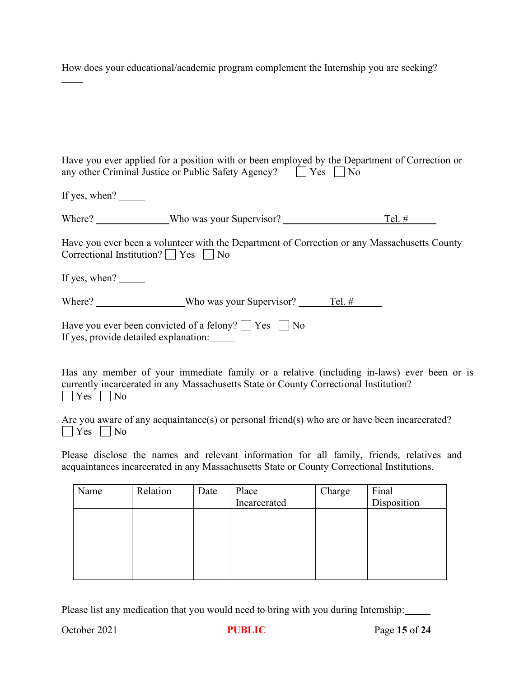How does your educational/academic program complement the Internship you are seeking?

| Have you ever applied for a position with or been employed by the Department of Correction or<br>any other Criminal Justice or Public Safety Agency?<br>T Yes $\Box$ No                                    |
|------------------------------------------------------------------------------------------------------------------------------------------------------------------------------------------------------------|
| If yes, when?                                                                                                                                                                                              |
| Where? ________________Who was your Supervisor? _________________________________<br>Tel. #                                                                                                                |
| Have you ever been a volunteer with the Department of Correction or any Massachusetts County<br>Correctional Institution? $\Box$ Yes $\Box$ No                                                             |
| If yes, when? $\frac{ }{ }$                                                                                                                                                                                |
| Where? Who was your Supervisor? Tel. #                                                                                                                                                                     |
| Have you ever been convicted of a felony? $\Box$ Yes $\Box$ No<br>If yes, provide detailed explanation:                                                                                                    |
| Has any member of your immediate family or a relative (including in-laws) ever been or is<br>currently incarcerated in any Massachusetts State or County Correctional Institution?<br>$\Box$ Yes $\Box$ No |
| Are you aware of any acquaintance(s) or personal friend(s) who are or have been incarcerated?<br>$\Box$ Yes $\Box$ No                                                                                      |
| Dlogge displaye the names and relevant information for all family friends relatives and                                                                                                                    |

Please disclose the names and relevant information for all family, friends, relatives and acquaintances incarcerated in any Massachusetts State or County Correctional Institutions.

| Name | Relation | Date | Place        | Charge | Final       |  |
|------|----------|------|--------------|--------|-------------|--|
|      |          |      | Incarcerated |        | Disposition |  |
|      |          |      |              |        |             |  |
|      |          |      |              |        |             |  |
|      |          |      |              |        |             |  |
|      |          |      |              |        |             |  |
|      |          |      |              |        |             |  |
|      |          |      |              |        |             |  |

Please list any medication that you would need to bring with you during Internship: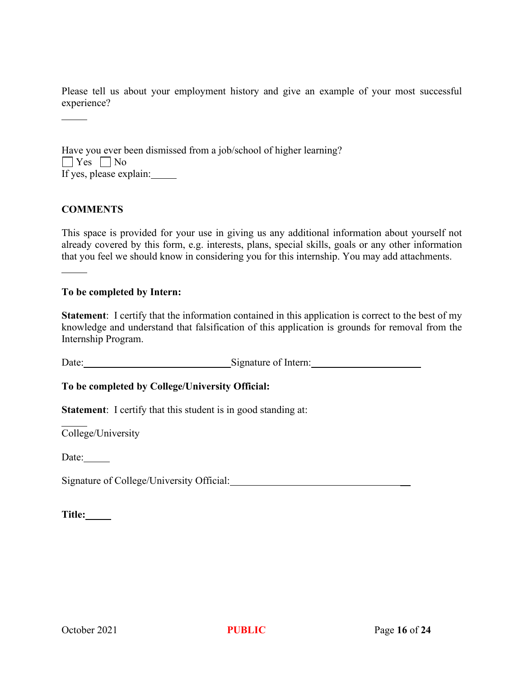Please tell us about your employment history and give an example of your most successful experience?

| Have you ever been dismissed from a job/school of higher learning? |
|--------------------------------------------------------------------|
| $\Box$ Yes $\Box$ No                                               |
| If yes, please explain:                                            |

## **COMMENTS**

This space is provided for your use in giving us any additional information about yourself not already covered by this form, e.g. interests, plans, special skills, goals or any other information that you feel we should know in considering you for this internship. You may add attachments.

#### **To be completed by Intern:**

**Statement**: I certify that the information contained in this application is correct to the best of my knowledge and understand that falsification of this application is grounds for removal from the Internship Program.

Date: \_\_\_\_\_\_\_\_\_\_\_\_\_\_\_\_\_\_\_\_\_\_\_Signature of Intern: \_\_\_\_

**To be completed by College/University Official:**

**Statement**: I certify that this student is in good standing at:

College/University

Date:

Signature of College/University Official:

**Title:**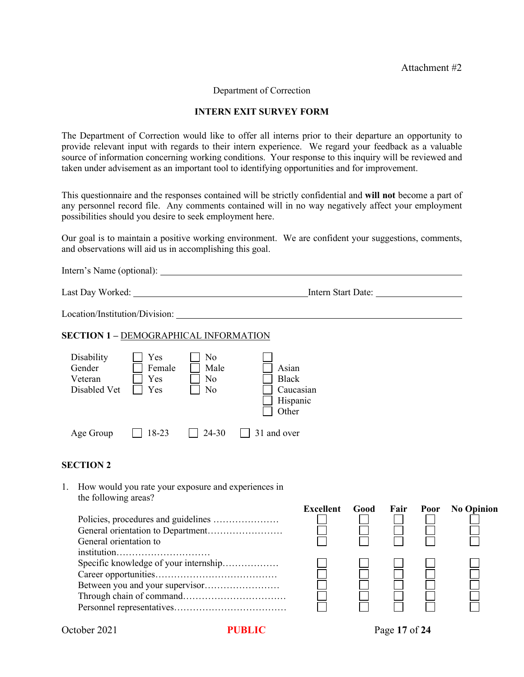#### Attachment #2

Department of Correction

#### **INTERN EXIT SURVEY FORM**

The Department of Correction would like to offer all interns prior to their departure an opportunity to provide relevant input with regards to their intern experience. We regard your feedback as a valuable source of information concerning working conditions. Your response to this inquiry will be reviewed and taken under advisement as an important tool to identifying opportunities and for improvement.

This questionnaire and the responses contained will be strictly confidential and **will not** become a part of any personnel record file. Any comments contained will in no way negatively affect your employment possibilities should you desire to seek employment here.

Our goal is to maintain a positive working environment. We are confident your suggestions, comments, and observations will aid us in accomplishing this goal.

| Intern's Name (optional):                                                                                                                              |                       |      |      |      |                   |
|--------------------------------------------------------------------------------------------------------------------------------------------------------|-----------------------|------|------|------|-------------------|
|                                                                                                                                                        |                       |      |      |      |                   |
|                                                                                                                                                        |                       |      |      |      |                   |
| <b>SECTION 1 - DEMOGRAPHICAL INFORMATION</b>                                                                                                           |                       |      |      |      |                   |
| Disability<br>N <sub>0</sub><br>Yes<br>Gender<br>Female<br>Male<br>Asian<br>Veteran<br><b>Black</b><br>Yes<br>No<br>Disabled Vet<br>No<br>Yes<br>Other | Caucasian<br>Hispanic |      |      |      |                   |
| 18-23<br>$24 - 30$<br>31 and over<br>Age Group                                                                                                         |                       |      |      |      |                   |
| <b>SECTION 2</b>                                                                                                                                       |                       |      |      |      |                   |
| How would you rate your exposure and experiences in<br>1.<br>the following areas?                                                                      |                       |      |      |      |                   |
| General orientation to                                                                                                                                 | <b>Excellent</b>      | Good | Fair | Poor | <b>No Opinion</b> |
| institution<br>Specific knowledge of your internship                                                                                                   |                       |      |      |      |                   |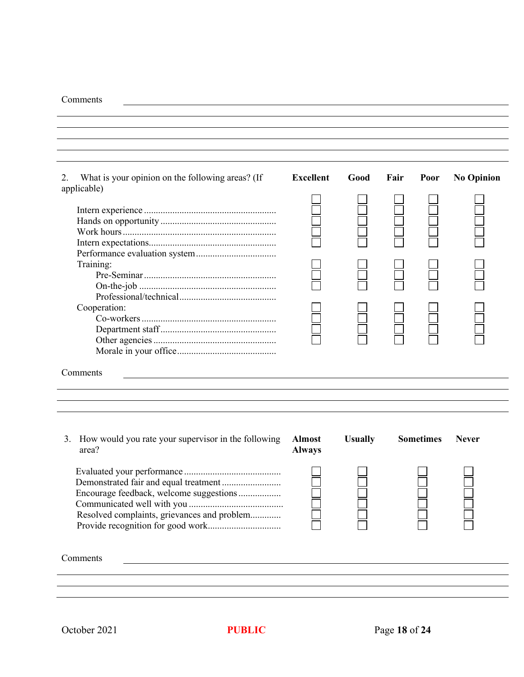#### Comments

| What is your opinion on the following areas? (If<br>2.    | <b>Excellent</b> | Good           | Fair | Poor             | <b>No Opinion</b> |
|-----------------------------------------------------------|------------------|----------------|------|------------------|-------------------|
| applicable)                                               |                  |                |      |                  |                   |
|                                                           |                  |                |      |                  |                   |
|                                                           |                  |                |      |                  |                   |
|                                                           |                  |                |      |                  |                   |
|                                                           |                  |                |      |                  |                   |
|                                                           |                  |                |      |                  |                   |
|                                                           |                  |                |      |                  |                   |
| Training:                                                 |                  |                |      |                  |                   |
|                                                           |                  |                |      |                  |                   |
|                                                           |                  |                |      |                  |                   |
|                                                           |                  |                |      |                  |                   |
| Cooperation:                                              |                  |                |      |                  |                   |
|                                                           |                  |                |      |                  |                   |
|                                                           |                  |                |      |                  |                   |
|                                                           |                  |                |      |                  |                   |
|                                                           |                  |                |      |                  |                   |
|                                                           |                  |                |      |                  |                   |
| Comments                                                  |                  |                |      |                  |                   |
|                                                           |                  |                |      |                  |                   |
|                                                           |                  |                |      |                  |                   |
|                                                           |                  |                |      |                  |                   |
|                                                           |                  |                |      |                  |                   |
|                                                           |                  |                |      |                  |                   |
| How would you rate your supervisor in the following<br>3. | <b>Almost</b>    | <b>Usually</b> |      | <b>Sometimes</b> | <b>Never</b>      |
| area?                                                     | <b>Always</b>    |                |      |                  |                   |
|                                                           |                  |                |      |                  |                   |
|                                                           |                  |                |      |                  |                   |
| Demonstrated fair and equal treatment                     |                  |                |      |                  |                   |
| Encourage feedback, welcome suggestions                   |                  |                |      |                  |                   |
|                                                           |                  |                |      |                  |                   |
| Resolved complaints, grievances and problem               |                  |                |      |                  |                   |
|                                                           |                  |                |      |                  |                   |
|                                                           |                  |                |      |                  |                   |
|                                                           |                  |                |      |                  |                   |
| Comments                                                  |                  |                |      |                  |                   |
|                                                           |                  |                |      |                  |                   |
|                                                           |                  |                |      |                  |                   |
|                                                           |                  |                |      |                  |                   |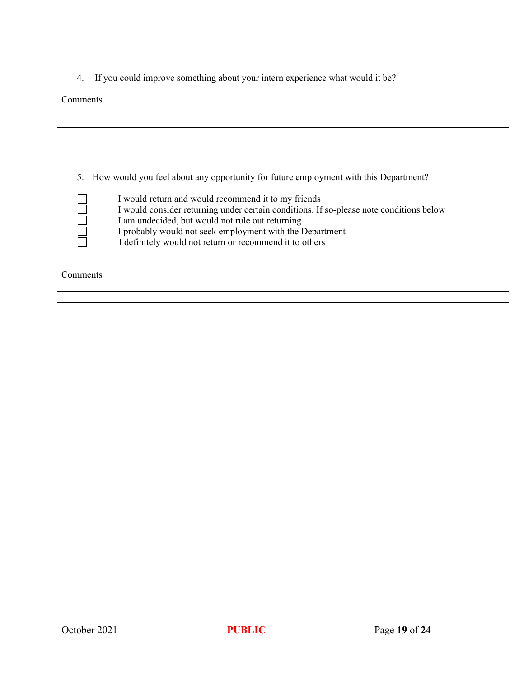4. If you could improve something about your intern experience what would it be?

Comments

| 5.       | How would you feel about any opportunity for future employment with this Department?<br>I would return and would recommend it to my friends<br>I would consider returning under certain conditions. If so-please note conditions below<br>I am undecided, but would not rule out returning<br>I probably would not seek employment with the Department<br>I definitely would not return or recommend it to others |
|----------|-------------------------------------------------------------------------------------------------------------------------------------------------------------------------------------------------------------------------------------------------------------------------------------------------------------------------------------------------------------------------------------------------------------------|
| Comments |                                                                                                                                                                                                                                                                                                                                                                                                                   |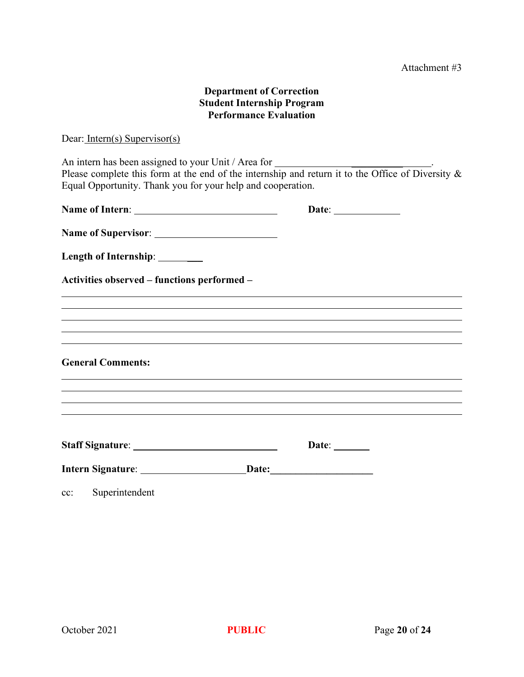# **Department of Correction Student Internship Program Performance Evaluation**

Dear: Intern(s) Supervisor(s)

An intern has been assigned to your Unit / Area for \_\_\_\_\_\_\_\_\_\_ . Please complete this form at the end of the internship and return it to the Office of Diversity & Equal Opportunity. Thank you for your help and cooperation. **Name of Intern**: **Date**:

| $\Gamma$ and $\Gamma$ and $\Gamma$ and $\Gamma$ and $\Gamma$ and $\Gamma$ and $\Gamma$ and $\Gamma$ and $\Gamma$ and $\Gamma$ and $\Gamma$ and $\Gamma$ and $\Gamma$ and $\Gamma$ and $\Gamma$ and $\Gamma$ and $\Gamma$ and $\Gamma$ and $\Gamma$ and $\Gamma$ and $\Gamma$ and $\Gamma$ and $\Gamma$ and $\Gamma$ and $\Gamma$ | $\mathbf{L}$ are $\mathbf{L}$ |  |
|----------------------------------------------------------------------------------------------------------------------------------------------------------------------------------------------------------------------------------------------------------------------------------------------------------------------------------|-------------------------------|--|
|                                                                                                                                                                                                                                                                                                                                  |                               |  |
| Length of Internship: ______                                                                                                                                                                                                                                                                                                     |                               |  |
| Activities observed - functions performed -                                                                                                                                                                                                                                                                                      |                               |  |
| ,我们也不会有什么?""我们的人,我们也不会有什么?""我们的人,我们也不会有什么?""我们的人,我们也不会有什么?""我们的人,我们也不会有什么?""我们的人                                                                                                                                                                                                                                                 |                               |  |
|                                                                                                                                                                                                                                                                                                                                  |                               |  |
| <b>General Comments:</b>                                                                                                                                                                                                                                                                                                         |                               |  |
| ,我们也不会有什么?""我们的人,我们也不会不会不会。""我们的人,我们也不会不会不会不会。""我们的人,我们也不会不会不会不会。""我们的人,我们也不会不会不<br>,我们也不会有什么。""我们的人,我们也不会有什么?""我们的人,我们也不会有什么?""我们的人,我们也不会有什么?""我们的人,我们也不会有什么?""我们的人                                                                                                                                                             |                               |  |
|                                                                                                                                                                                                                                                                                                                                  | Date: $\qquad \qquad$         |  |
|                                                                                                                                                                                                                                                                                                                                  |                               |  |
|                                                                                                                                                                                                                                                                                                                                  |                               |  |

cc: Superintendent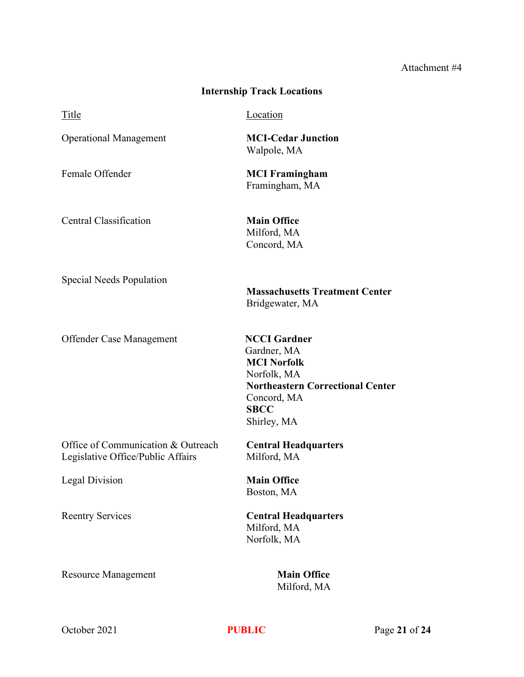# Attachment #4

| <b>Internship Track Locations</b>                                       |                                                                                                                                                                 |
|-------------------------------------------------------------------------|-----------------------------------------------------------------------------------------------------------------------------------------------------------------|
| Title                                                                   | Location                                                                                                                                                        |
| <b>Operational Management</b>                                           | <b>MCI-Cedar Junction</b><br>Walpole, MA                                                                                                                        |
| Female Offender                                                         | <b>MCI Framingham</b><br>Framingham, MA                                                                                                                         |
| Central Classification                                                  | <b>Main Office</b><br>Milford, MA<br>Concord, MA                                                                                                                |
| Special Needs Population                                                | <b>Massachusetts Treatment Center</b><br>Bridgewater, MA                                                                                                        |
| Offender Case Management                                                | <b>NCCI</b> Gardner<br>Gardner, MA<br><b>MCI Norfolk</b><br>Norfolk, MA<br><b>Northeastern Correctional Center</b><br>Concord, MA<br><b>SBCC</b><br>Shirley, MA |
| Office of Communication & Outreach<br>Legislative Office/Public Affairs | <b>Central Headquarters</b><br>Milford, MA                                                                                                                      |
| Legal Division                                                          | <b>Main Office</b><br>Boston, MA                                                                                                                                |
| <b>Reentry Services</b>                                                 | <b>Central Headquarters</b><br>Milford, MA<br>Norfolk, MA                                                                                                       |
| <b>Resource Management</b>                                              | <b>Main Office</b><br>Milford, MA                                                                                                                               |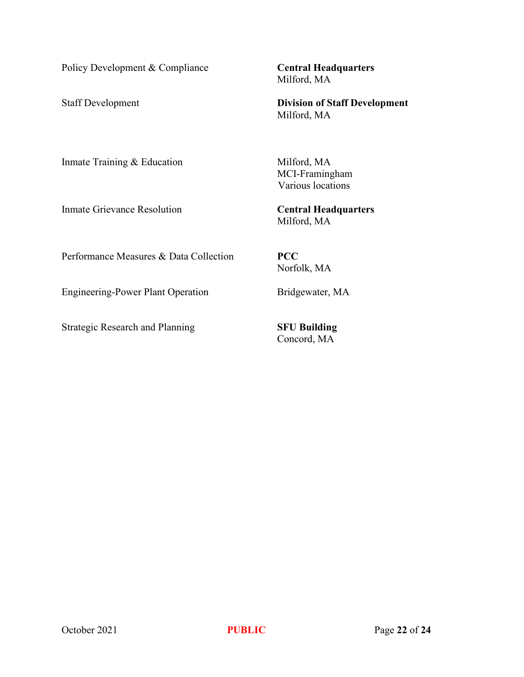Policy Development & Compliance **Central Headquarters**

Milford, MA

Staff Development **Division of Staff Development** Milford, MA

Inmate Training & Education Milford, MA

Inmate Grievance Resolution **Central Headquarters**

MCI-Framingham Various locations

Milford, MA

Performance Measures & Data Collection **PCC**

Norfolk, MA

Engineering-Power Plant Operation Bridgewater, MA

Strategic Research and Planning **SFU Building**

Concord, MA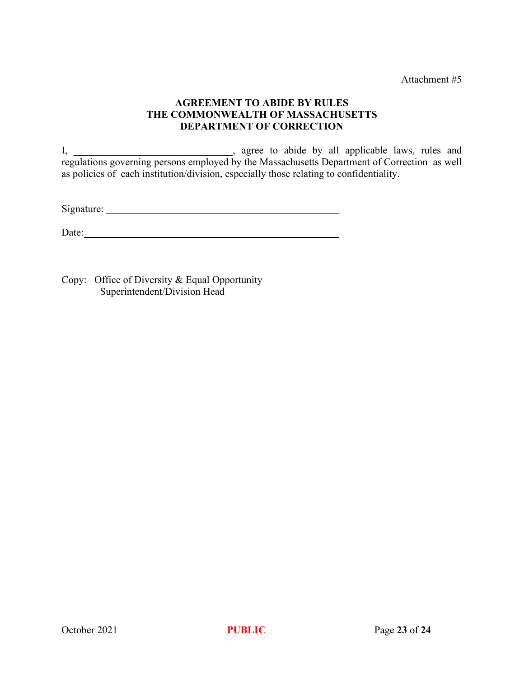Attachment #5

# **AGREEMENT TO ABIDE BY RULES THE COMMONWEALTH OF MASSACHUSETTS DEPARTMENT OF CORRECTION**

I, \_\_\_\_\_\_\_\_\_\_\_\_\_\_\_\_\_\_\_\_\_\_\_\_\_\_, agree to abide by all applicable laws, rules and regulations governing persons employed by the Massachusetts Department of Correction as well as policies of each institution/division, especially those relating to confidentiality.

Signature:

Date:

Copy: Office of Diversity & Equal Opportunity Superintendent/Division Head